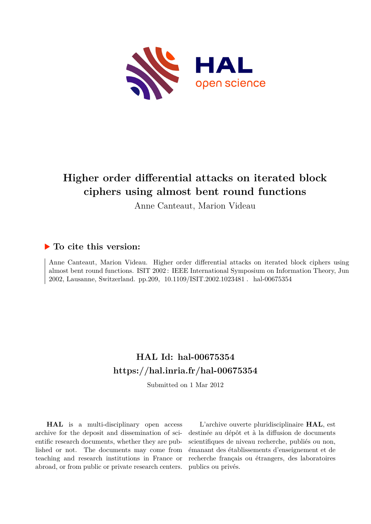

# **Higher order differential attacks on iterated block ciphers using almost bent round functions**

Anne Canteaut, Marion Videau

## **To cite this version:**

Anne Canteaut, Marion Videau. Higher order differential attacks on iterated block ciphers using almost bent round functions. ISIT 2002 : IEEE International Symposium on Information Theory, Jun 2002, Lausanne, Switzerland. pp.209, 10.1109/ISIT.2002.1023481. hal-00675354

## **HAL Id: hal-00675354 <https://hal.inria.fr/hal-00675354>**

Submitted on 1 Mar 2012

**HAL** is a multi-disciplinary open access archive for the deposit and dissemination of scientific research documents, whether they are published or not. The documents may come from teaching and research institutions in France or abroad, or from public or private research centers.

L'archive ouverte pluridisciplinaire **HAL**, est destinée au dépôt et à la diffusion de documents scientifiques de niveau recherche, publiés ou non, émanant des établissements d'enseignement et de recherche français ou étrangers, des laboratoires publics ou privés.